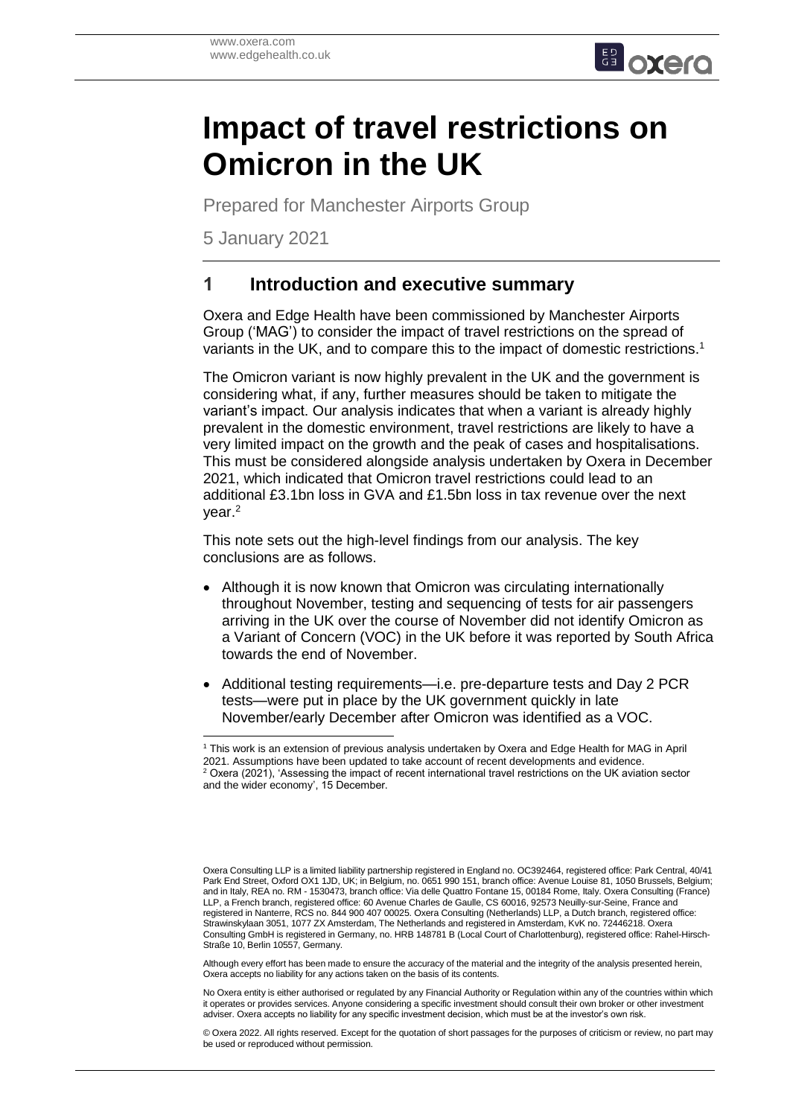

# **Impact of travel restrictions on Omicron in the UK**

Prepared for Manchester Airports Group

5 January 2021

## **1 Introduction and executive summary**

Oxera and Edge Health have been commissioned by Manchester Airports Group ('MAG') to consider the impact of travel restrictions on the spread of variants in the UK, and to compare this to the impact of domestic restrictions.<sup>1</sup>

The Omicron variant is now highly prevalent in the UK and the government is considering what, if any, further measures should be taken to mitigate the variant's impact. Our analysis indicates that when a variant is already highly prevalent in the domestic environment, travel restrictions are likely to have a very limited impact on the growth and the peak of cases and hospitalisations. This must be considered alongside analysis undertaken by Oxera in December 2021, which indicated that Omicron travel restrictions could lead to an additional £3.1bn loss in GVA and £1.5bn loss in tax revenue over the next year.<sup>2</sup>

This note sets out the high-level findings from our analysis. The key conclusions are as follows.

- Although it is now known that Omicron was circulating internationally throughout November, testing and sequencing of tests for air passengers arriving in the UK over the course of November did not identify Omicron as a Variant of Concern (VOC) in the UK before it was reported by South Africa towards the end of November.
- Additional testing requirements—i.e. pre-departure tests and Day 2 PCR tests—were put in place by the UK government quickly in late November/early December after Omicron was identified as a VOC.

Although every effort has been made to ensure the accuracy of the material and the integrity of the analysis presented herein, Oxera accepts no liability for any actions taken on the basis of its contents.

No Oxera entity is either authorised or regulated by any Financial Authority or Regulation within any of the countries within which it operates or provides services. Anyone considering a specific investment should consult their own broker or other investment adviser. Oxera accepts no liability for any specific investment decision, which must be at the investor's own risk.

© Oxera 2022. All rights reserved. Except for the quotation of short passages for the purposes of criticism or review, no part may be used or reproduced without permission.

 $\overline{a}$ <sup>1</sup> This work is an extension of previous analysis undertaken by Oxera and Edge Health for MAG in April 2021. Assumptions have been updated to take account of recent developments and evidence.  $2$  Oxera (2021), 'Assessing the impact of recent international travel restrictions on the UK aviation sector and the wider economy', 15 December.

Oxera Consulting LLP is a limited liability partnership registered in England no. OC392464, registered office: Park Central, 40/41 Park End Street, Oxford OX1 1JD, UK; in Belgium, no. 0651 990 151, branch office: Avenue Louise 81, 1050 Brussels, Belgium; and in Italy, REA no. RM - 1530473, branch office: Via delle Quattro Fontane 15, 00184 Rome, Italy. Oxera Consulting (France) LLP, a French branch, registered office: 60 Avenue Charles de Gaulle, CS 60016, 92573 Neuilly-sur-Seine, France and registered in Nanterre, RCS no. 844 900 407 00025. Oxera Consulting (Netherlands) LLP, a Dutch branch, registered office: Strawinskylaan 3051, 1077 ZX Amsterdam, The Netherlands and registered in Amsterdam, KvK no. 72446218. Oxera Consulting GmbH is registered in Germany, no. HRB 148781 B (Local Court of Charlottenburg), registered office: Rahel-Hirsch-Straße 10, Berlin 10557, Germany.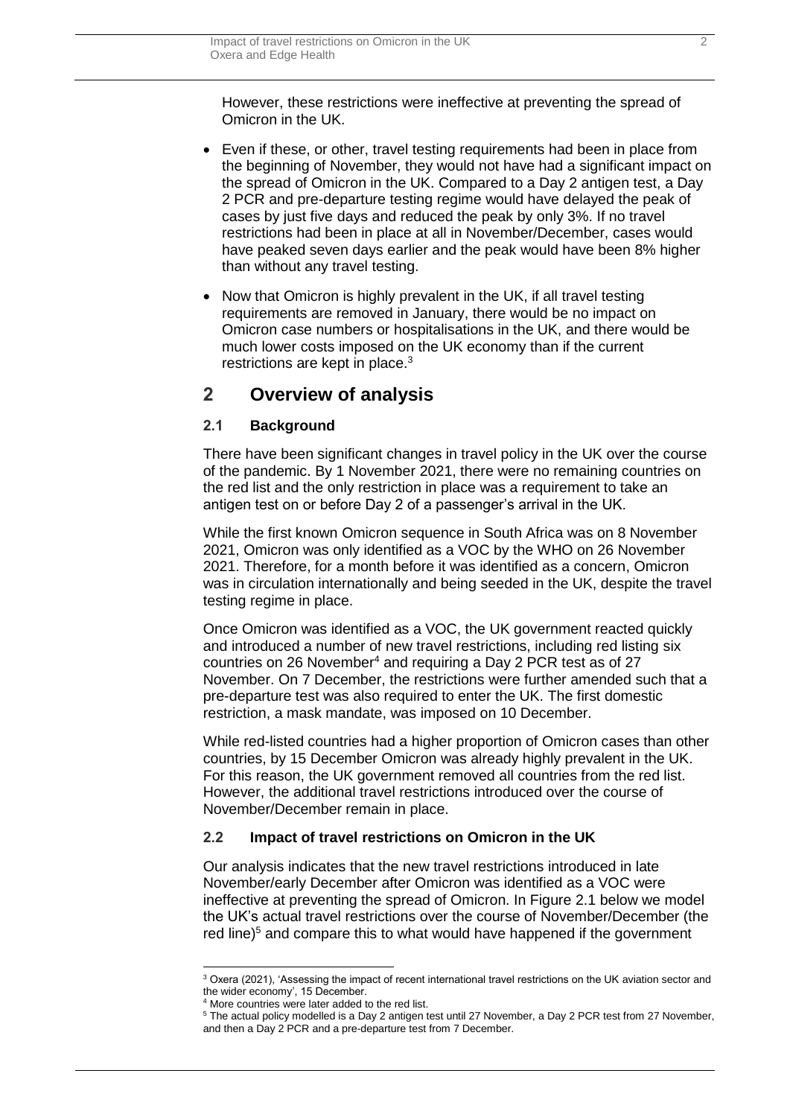However, these restrictions were ineffective at preventing the spread of Omicron in the UK.

- Even if these, or other, travel testing requirements had been in place from the beginning of November, they would not have had a significant impact on the spread of Omicron in the UK. Compared to a Day 2 antigen test, a Day 2 PCR and pre-departure testing regime would have delayed the peak of cases by just five days and reduced the peak by only 3%. If no travel restrictions had been in place at all in November/December, cases would have peaked seven days earlier and the peak would have been 8% higher than without any travel testing.
- Now that Omicron is highly prevalent in the UK, if all travel testing requirements are removed in January, there would be no impact on Omicron case numbers or hospitalisations in the UK, and there would be much lower costs imposed on the UK economy than if the current restrictions are kept in place. 3

### **2 Overview of analysis**

#### **2.1 Background**

There have been significant changes in travel policy in the UK over the course of the pandemic. By 1 November 2021, there were no remaining countries on the red list and the only restriction in place was a requirement to take an antigen test on or before Day 2 of a passenger's arrival in the UK.

While the first known Omicron sequence in South Africa was on 8 November 2021, Omicron was only identified as a VOC by the WHO on 26 November 2021. Therefore, for a month before it was identified as a concern, Omicron was in circulation internationally and being seeded in the UK, despite the travel testing regime in place.

Once Omicron was identified as a VOC, the UK government reacted quickly and introduced a number of new travel restrictions, including red listing six countries on 26 November<sup>4</sup> and requiring a Day 2 PCR test as of 27 November. On 7 December, the restrictions were further amended such that a pre-departure test was also required to enter the UK. The first domestic restriction, a mask mandate, was imposed on 10 December.

While red-listed countries had a higher proportion of Omicron cases than other countries, by 15 December Omicron was already highly prevalent in the UK. For this reason, the UK government removed all countries from the red list. However, the additional travel restrictions introduced over the course of November/December remain in place.

#### **2.2 Impact of travel restrictions on Omicron in the UK**

Our analysis indicates that the new travel restrictions introduced in late November/early December after Omicron was identified as a VOC were ineffective at preventing the spread of Omicron. In [Figure 2.1](#page-2-0) below we model the UK's actual travel restrictions over the course of November/December (the red line) <sup>5</sup> and compare this to what would have happened if the government

<sup>&</sup>lt;sup>3</sup> Oxera (2021), 'Assessing the impact of recent international travel restrictions on the UK aviation sector and the wider economy', 15 December.

<sup>4</sup> More countries were later added to the red list.

<sup>5</sup> The actual policy modelled is a Day 2 antigen test until 27 November, a Day 2 PCR test from 27 November, and then a Day 2 PCR and a pre-departure test from 7 December.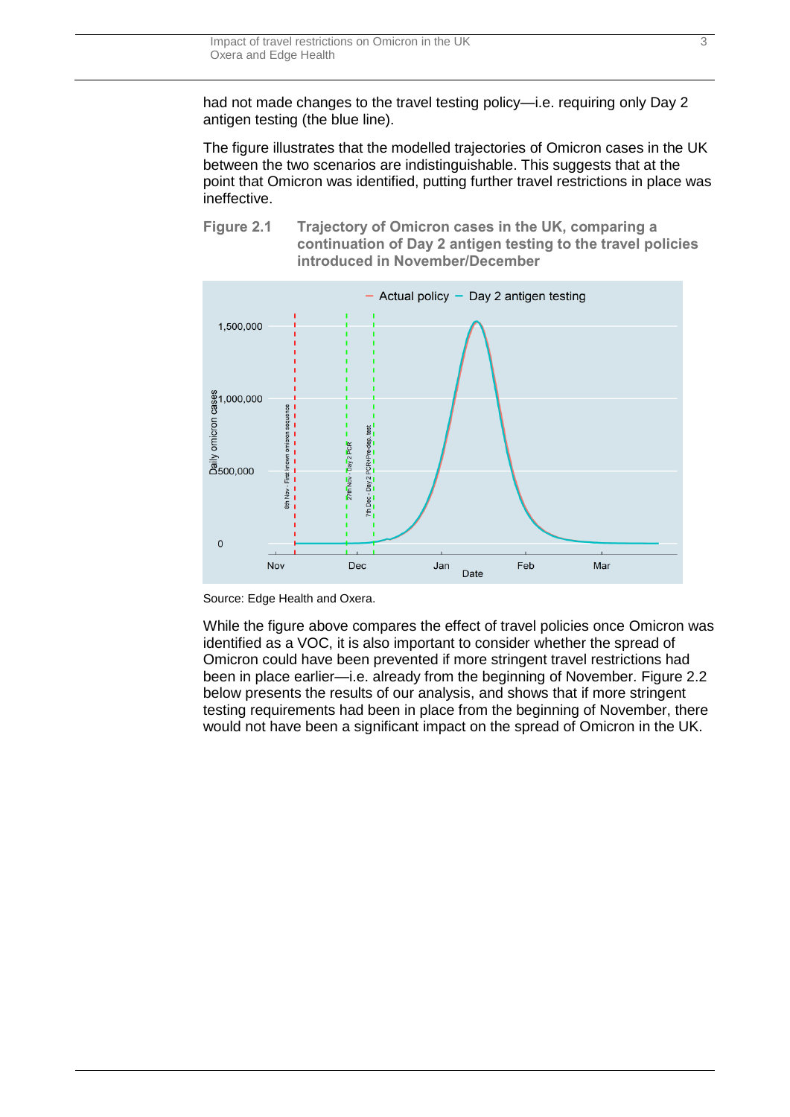<span id="page-2-1"></span>had not made changes to the travel testing policy—i.e. requiring only Day 2 antigen testing (the blue line).

The figure illustrates that the modelled trajectories of Omicron cases in the UK between the two scenarios are indistinguishable. This suggests that at the point that Omicron was identified, putting further travel restrictions in place was ineffective.

<span id="page-2-0"></span>





While the figure above compares the effect of travel policies once Omicron was identified as a VOC, it is also important to consider whether the spread of Omicron could have been prevented if more stringent travel restrictions had been in place earlier—i.e. already from the beginning of November. [Figure 2.2](#page-2-1) below presents the results of our analysis, and shows that if more stringent testing requirements had been in place from the beginning of November, there would not have been a significant impact on the spread of Omicron in the UK.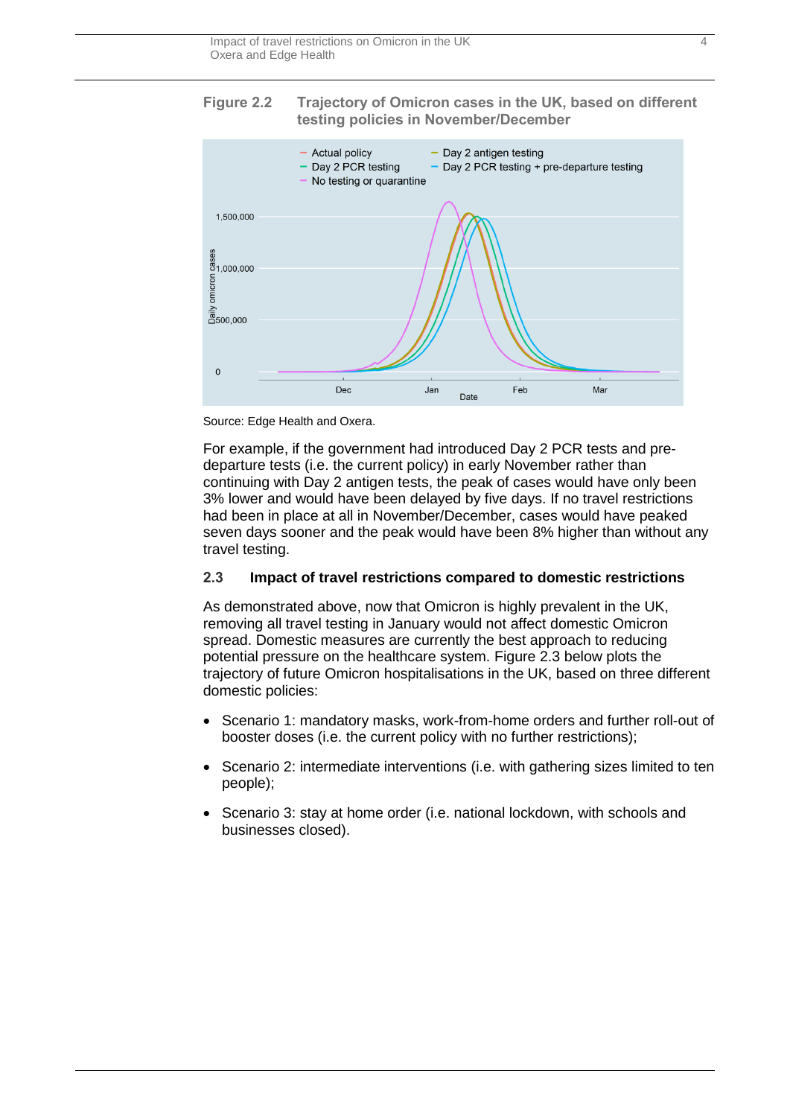<span id="page-3-0"></span>



Source: Edge Health and Oxera.

For example, if the government had introduced Day 2 PCR tests and predeparture tests (i.e. the current policy) in early November rather than continuing with Day 2 antigen tests, the peak of cases would have only been 3% lower and would have been delayed by five days. If no travel restrictions had been in place at all in November/December, cases would have peaked seven days sooner and the peak would have been 8% higher than without any travel testing.

#### **2.3 Impact of travel restrictions compared to domestic restrictions**

As demonstrated above, now that Omicron is highly prevalent in the UK, removing all travel testing in January would not affect domestic Omicron spread. Domestic measures are currently the best approach to reducing potential pressure on the healthcare system. [Figure 2.3](#page-3-0) below plots the trajectory of future Omicron hospitalisations in the UK, based on three different domestic policies:

- Scenario 1: mandatory masks, work-from-home orders and further roll-out of booster doses (i.e. the current policy with no further restrictions);
- Scenario 2: intermediate interventions (i.e. with gathering sizes limited to ten people);
- Scenario 3: stay at home order (i.e. national lockdown, with schools and businesses closed).